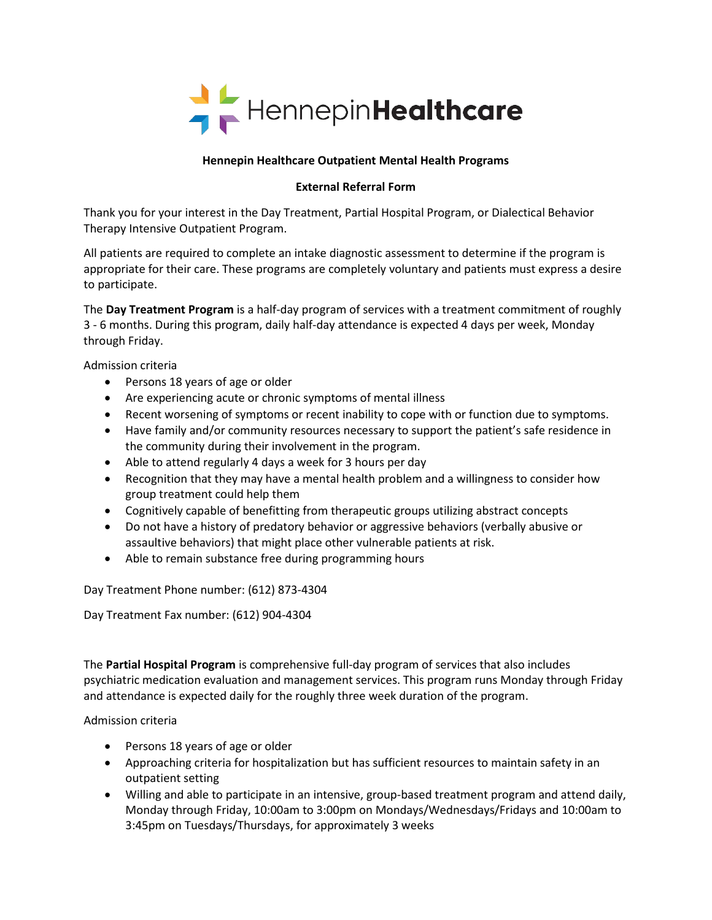

### **Hennepin Healthcare Outpatient Mental Health Programs**

#### **External Referral Form**

Thank you for your interest in the Day Treatment, Partial Hospital Program, or Dialectical Behavior Therapy Intensive Outpatient Program.

All patients are required to complete an intake diagnostic assessment to determine if the program is appropriate for their care. These programs are completely voluntary and patients must express a desire to participate.

The **Day Treatment Program** is a half-day program of services with a treatment commitment of roughly 3 - 6 months. During this program, daily half-day attendance is expected 4 days per week, Monday through Friday.

Admission criteria

- Persons 18 years of age or older
- Are experiencing acute or chronic symptoms of mental illness
- Recent worsening of symptoms or recent inability to cope with or function due to symptoms.
- Have family and/or community resources necessary to support the patient's safe residence in the community during their involvement in the program.
- Able to attend regularly 4 days a week for 3 hours per day
- Recognition that they may have a mental health problem and a willingness to consider how group treatment could help them
- Cognitively capable of benefitting from therapeutic groups utilizing abstract concepts
- Do not have a history of predatory behavior or aggressive behaviors (verbally abusive or assaultive behaviors) that might place other vulnerable patients at risk.
- Able to remain substance free during programming hours

Day Treatment Phone number: (612) 873-4304

Day Treatment Fax number: (612) 904-4304

The **Partial Hospital Program** is comprehensive full-day program of services that also includes psychiatric medication evaluation and management services. This program runs Monday through Friday and attendance is expected daily for the roughly three week duration of the program.

Admission criteria

- Persons 18 years of age or older
- Approaching criteria for hospitalization but has sufficient resources to maintain safety in an outpatient setting
- Willing and able to participate in an intensive, group-based treatment program and attend daily, Monday through Friday, 10:00am to 3:00pm on Mondays/Wednesdays/Fridays and 10:00am to 3:45pm on Tuesdays/Thursdays, for approximately 3 weeks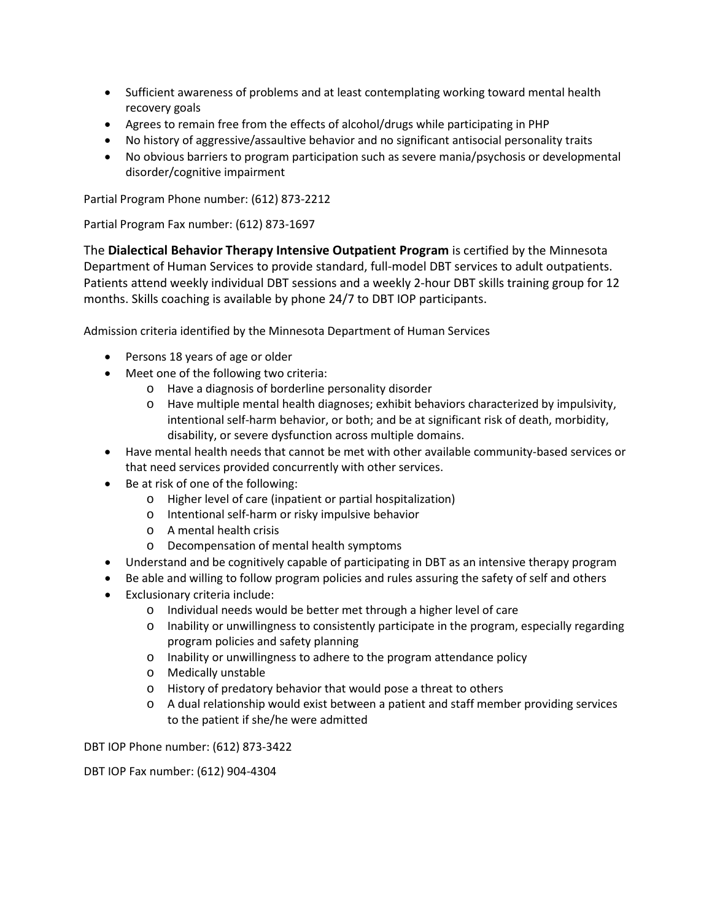- Sufficient awareness of problems and at least contemplating working toward mental health recovery goals
- Agrees to remain free from the effects of alcohol/drugs while participating in PHP
- No history of aggressive/assaultive behavior and no significant antisocial personality traits
- No obvious barriers to program participation such as severe mania/psychosis or developmental disorder/cognitive impairment

Partial Program Phone number: (612) 873-2212

Partial Program Fax number: (612) 873-1697

The **Dialectical Behavior Therapy Intensive Outpatient Program** is certified by the Minnesota Department of Human Services to provide standard, full-model DBT services to adult outpatients. Patients attend weekly individual DBT sessions and a weekly 2-hour DBT skills training group for 12 months. Skills coaching is available by phone 24/7 to DBT IOP participants.

Admission criteria identified by the Minnesota Department of Human Services

- Persons 18 years of age or older
- Meet one of the following two criteria:
	- o Have a diagnosis of borderline personality disorder
	- o Have multiple mental health diagnoses; exhibit behaviors characterized by impulsivity, intentional self-harm behavior, or both; and be at significant risk of death, morbidity, disability, or severe dysfunction across multiple domains.
- Have mental health needs that cannot be met with other available community-based services or that need services provided concurrently with other services.
- Be at risk of one of the following:
	- o Higher level of care (inpatient or partial hospitalization)
	- o Intentional self-harm or risky impulsive behavior
	- o A mental health crisis
	- o Decompensation of mental health symptoms
- Understand and be cognitively capable of participating in DBT as an intensive therapy program
- Be able and willing to follow program policies and rules assuring the safety of self and others
- Exclusionary criteria include:
	- o Individual needs would be better met through a higher level of care
	- o Inability or unwillingness to consistently participate in the program, especially regarding program policies and safety planning
	- o Inability or unwillingness to adhere to the program attendance policy
	- o Medically unstable
	- o History of predatory behavior that would pose a threat to others
	- o A dual relationship would exist between a patient and staff member providing services to the patient if she/he were admitted

DBT IOP Phone number: (612) 873-3422

DBT IOP Fax number: (612) 904-4304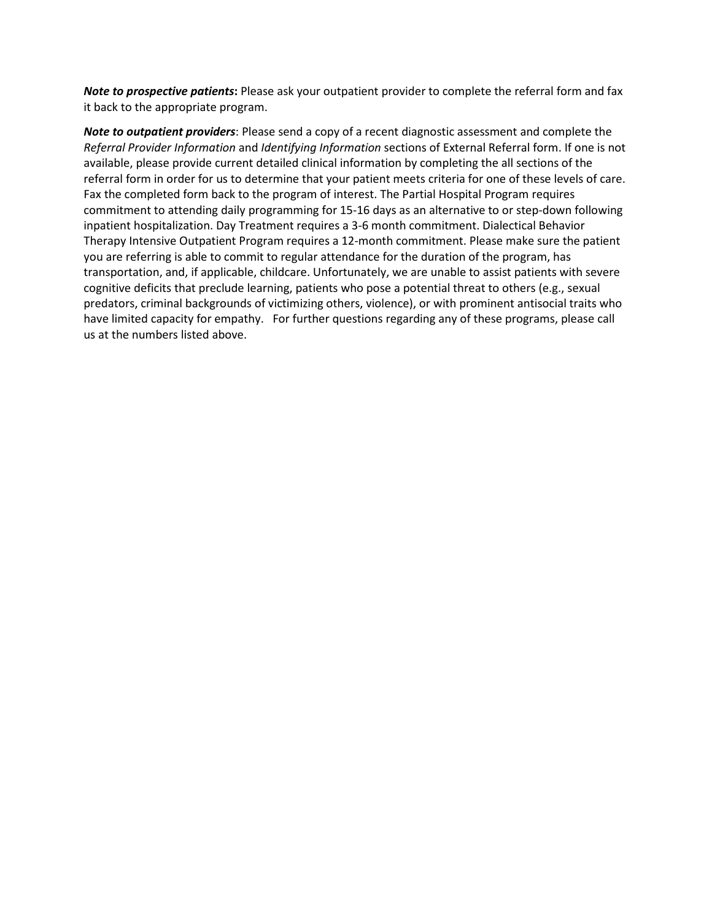*Note to prospective patients***:** Please ask your outpatient provider to complete the referral form and fax it back to the appropriate program.

*Note to outpatient providers*: Please send a copy of a recent diagnostic assessment and complete the *Referral Provider Information* and *Identifying Information* sections of External Referral form. If one is not available, please provide current detailed clinical information by completing the all sections of the referral form in order for us to determine that your patient meets criteria for one of these levels of care. Fax the completed form back to the program of interest. The Partial Hospital Program requires commitment to attending daily programming for 15-16 days as an alternative to or step-down following inpatient hospitalization. Day Treatment requires a 3-6 month commitment. Dialectical Behavior Therapy Intensive Outpatient Program requires a 12-month commitment. Please make sure the patient you are referring is able to commit to regular attendance for the duration of the program, has transportation, and, if applicable, childcare. Unfortunately, we are unable to assist patients with severe cognitive deficits that preclude learning, patients who pose a potential threat to others (e.g., sexual predators, criminal backgrounds of victimizing others, violence), or with prominent antisocial traits who have limited capacity for empathy. For further questions regarding any of these programs, please call us at the numbers listed above.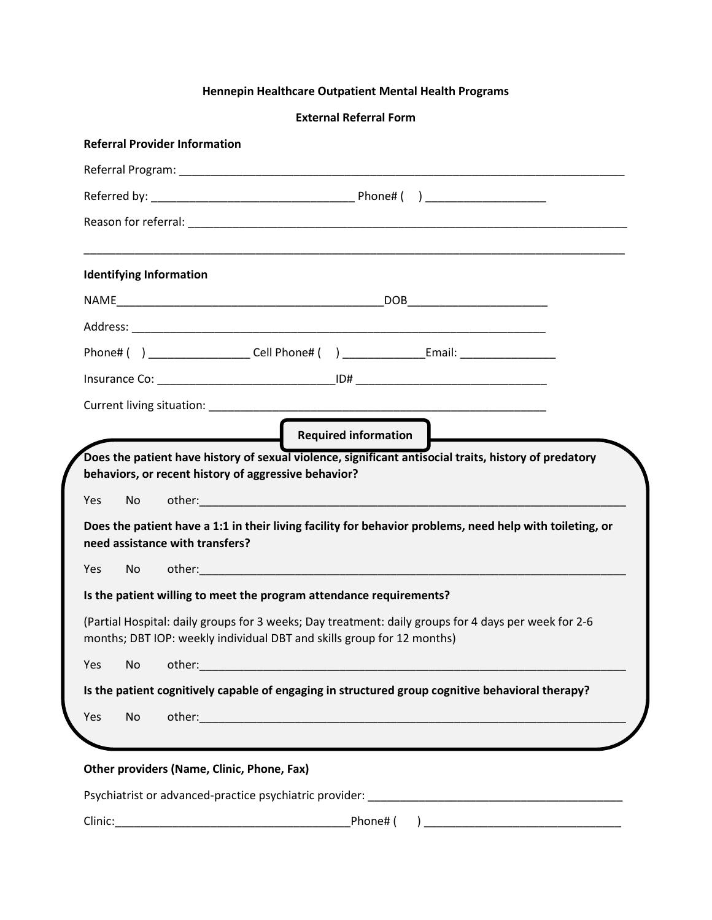## **Hennepin Healthcare Outpatient Mental Health Programs**

**External Referral Form**

| <b>Identifying Information</b>               |                                                                                                                                                                                                                                |                                                                                                                               |
|----------------------------------------------|--------------------------------------------------------------------------------------------------------------------------------------------------------------------------------------------------------------------------------|-------------------------------------------------------------------------------------------------------------------------------|
|                                              |                                                                                                                                                                                                                                |                                                                                                                               |
|                                              |                                                                                                                                                                                                                                |                                                                                                                               |
|                                              |                                                                                                                                                                                                                                | Phone# () ___________________Cell Phone# () __________________Email: ___________________                                      |
|                                              |                                                                                                                                                                                                                                |                                                                                                                               |
|                                              |                                                                                                                                                                                                                                |                                                                                                                               |
|                                              | Current living situation: Care and Contract and Contract and Contract and Contract and Contract and Contract and Contract and Contract and Contract and Contract and Contract and Contract and Contract and Contract and Contr |                                                                                                                               |
|                                              | behaviors, or recent history of aggressive behavior?                                                                                                                                                                           | Required information<br>Does the patient have history of sexual violence, significant antisocial traits, history of predatory |
| Yes<br>No<br>need assistance with transfers? |                                                                                                                                                                                                                                | Does the patient have a 1:1 in their living facility for behavior problems, need help with toileting, or                      |
| Yes<br>No                                    |                                                                                                                                                                                                                                |                                                                                                                               |
|                                              | Is the patient willing to meet the program attendance requirements?                                                                                                                                                            |                                                                                                                               |
|                                              | months; DBT IOP: weekly individual DBT and skills group for 12 months)                                                                                                                                                         | (Partial Hospital: daily groups for 3 weeks; Day treatment: daily groups for 4 days per week for 2-6                          |
| Yes<br>No<br>other:                          |                                                                                                                                                                                                                                |                                                                                                                               |
|                                              |                                                                                                                                                                                                                                | Is the patient cognitively capable of engaging in structured group cognitive behavioral therapy?                              |

Clinic:\_\_\_\_\_\_\_\_\_\_\_\_\_\_\_\_\_\_\_\_\_\_\_\_\_\_\_\_\_\_\_\_\_\_\_\_\_Phone# ( ) \_\_\_\_\_\_\_\_\_\_\_\_\_\_\_\_\_\_\_\_\_\_\_\_\_\_\_\_\_\_\_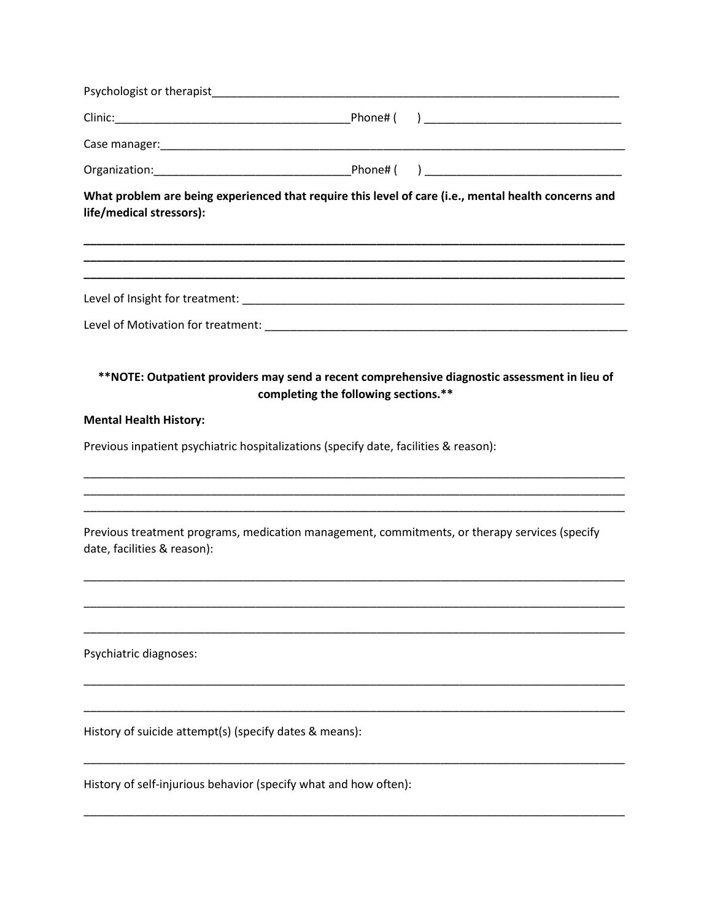| life/medical stressors):                                                             |                                      | What problem are being experienced that require this level of care (i.e., mental health concerns and |
|--------------------------------------------------------------------------------------|--------------------------------------|------------------------------------------------------------------------------------------------------|
|                                                                                      |                                      |                                                                                                      |
|                                                                                      |                                      |                                                                                                      |
|                                                                                      | completing the following sections.** | **NOTE: Outpatient providers may send a recent comprehensive diagnostic assessment in lieu of        |
| <b>Mental Health History:</b>                                                        |                                      |                                                                                                      |
| Previous inpatient psychiatric hospitalizations (specify date, facilities & reason): |                                      |                                                                                                      |
| date, facilities & reason):                                                          |                                      | Previous treatment programs, medication management, commitments, or therapy services (specify        |
|                                                                                      |                                      |                                                                                                      |
| Psychiatric diagnoses:                                                               |                                      |                                                                                                      |
| History of suicide attempt(s) (specify dates & means):                               |                                      |                                                                                                      |
| History of self-injurious behavior (specify what and how often):                     |                                      |                                                                                                      |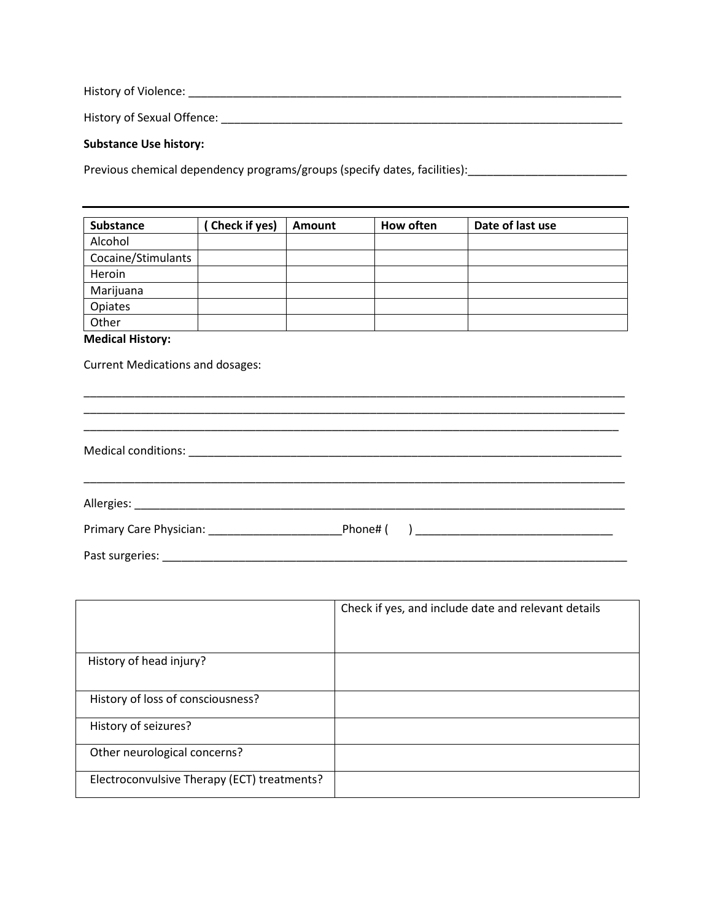History of Violence: \_\_\_\_\_\_\_\_\_\_\_\_\_\_\_\_\_\_\_\_\_\_\_\_\_\_\_\_\_\_\_\_\_\_\_\_\_\_\_\_\_\_\_\_\_\_\_\_\_\_\_\_\_\_\_\_\_\_\_\_\_\_\_\_\_\_\_\_

History of Sexual Offence: \_\_\_\_\_\_\_\_\_\_\_\_\_\_\_\_\_\_\_\_\_\_\_\_\_\_\_\_\_\_\_\_\_\_\_\_\_\_\_\_\_\_\_\_\_\_\_\_\_\_\_\_\_\_\_\_\_\_\_\_\_\_\_

#### **Substance Use history:**

Previous chemical dependency programs/groups (specify dates, facilities): [100] The content of the problem of the provincial dependency programs/groups (specify dates, facilities): [20]  $\frac{1}{2}$ 

| <b>Substance</b>   | Check if yes) | Amount | How often | Date of last use |
|--------------------|---------------|--------|-----------|------------------|
| Alcohol            |               |        |           |                  |
| Cocaine/Stimulants |               |        |           |                  |
| Heroin             |               |        |           |                  |
| Marijuana          |               |        |           |                  |
| <b>Opiates</b>     |               |        |           |                  |
| Other              |               |        |           |                  |

## **Medical History:**

Current Medications and dosages:

|                                             | Check if yes, and include date and relevant details |
|---------------------------------------------|-----------------------------------------------------|
| History of head injury?                     |                                                     |
| History of loss of consciousness?           |                                                     |
| History of seizures?                        |                                                     |
| Other neurological concerns?                |                                                     |
| Electroconvulsive Therapy (ECT) treatments? |                                                     |